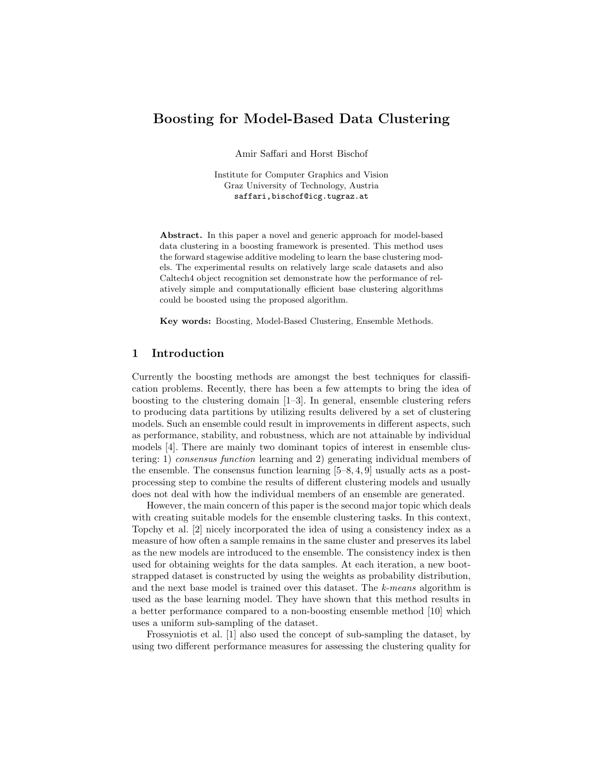# Boosting for Model-Based Data Clustering

Amir Saffari and Horst Bischof

Institute for Computer Graphics and Vision Graz University of Technology, Austria saffari,bischof@icg.tugraz.at

Abstract. In this paper a novel and generic approach for model-based data clustering in a boosting framework is presented. This method uses the forward stagewise additive modeling to learn the base clustering models. The experimental results on relatively large scale datasets and also Caltech4 object recognition set demonstrate how the performance of relatively simple and computationally efficient base clustering algorithms could be boosted using the proposed algorithm.

Key words: Boosting, Model-Based Clustering, Ensemble Methods.

## 1 Introduction

Currently the boosting methods are amongst the best techniques for classification problems. Recently, there has been a few attempts to bring the idea of boosting to the clustering domain [1–3]. In general, ensemble clustering refers to producing data partitions by utilizing results delivered by a set of clustering models. Such an ensemble could result in improvements in different aspects, such as performance, stability, and robustness, which are not attainable by individual models [4]. There are mainly two dominant topics of interest in ensemble clustering: 1) consensus function learning and 2) generating individual members of the ensemble. The consensus function learning  $[5–8, 4, 9]$  usually acts as a postprocessing step to combine the results of different clustering models and usually does not deal with how the individual members of an ensemble are generated.

However, the main concern of this paper is the second major topic which deals with creating suitable models for the ensemble clustering tasks. In this context, Topchy et al. [2] nicely incorporated the idea of using a consistency index as a measure of how often a sample remains in the same cluster and preserves its label as the new models are introduced to the ensemble. The consistency index is then used for obtaining weights for the data samples. At each iteration, a new bootstrapped dataset is constructed by using the weights as probability distribution, and the next base model is trained over this dataset. The k-means algorithm is used as the base learning model. They have shown that this method results in a better performance compared to a non-boosting ensemble method [10] which uses a uniform sub-sampling of the dataset.

Frossyniotis et al. [1] also used the concept of sub-sampling the dataset, by using two different performance measures for assessing the clustering quality for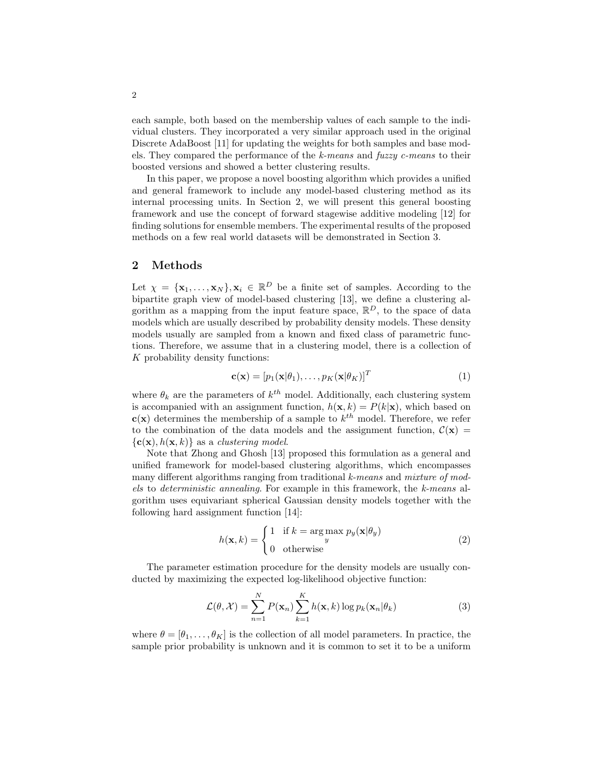each sample, both based on the membership values of each sample to the individual clusters. They incorporated a very similar approach used in the original Discrete AdaBoost [11] for updating the weights for both samples and base models. They compared the performance of the k-means and fuzzy c-means to their boosted versions and showed a better clustering results.

In this paper, we propose a novel boosting algorithm which provides a unified and general framework to include any model-based clustering method as its internal processing units. In Section 2, we will present this general boosting framework and use the concept of forward stagewise additive modeling [12] for finding solutions for ensemble members. The experimental results of the proposed methods on a few real world datasets will be demonstrated in Section 3.

# 2 Methods

Let  $\chi = {\mathbf{x}_1, ..., \mathbf{x}_N}$ ,  $\mathbf{x}_i \in \mathbb{R}^D$  be a finite set of samples. According to the bipartite graph view of model-based clustering [13], we define a clustering algorithm as a mapping from the input feature space,  $\mathbb{R}^D$ , to the space of data models which are usually described by probability density models. These density models usually are sampled from a known and fixed class of parametric functions. Therefore, we assume that in a clustering model, there is a collection of K probability density functions:

$$
\mathbf{c}(\mathbf{x}) = [p_1(\mathbf{x}|\theta_1), \dots, p_K(\mathbf{x}|\theta_K)]^T
$$
 (1)

where  $\theta_k$  are the parameters of  $k^{th}$  model. Additionally, each clustering system is accompanied with an assignment function,  $h(\mathbf{x}, k) = P(k|\mathbf{x})$ , which based on  $c(x)$  determines the membership of a sample to  $k^{th}$  model. Therefore, we refer to the combination of the data models and the assignment function,  $\mathcal{C}(\mathbf{x}) =$  ${c(\mathbf{x}), h(\mathbf{x}, k)}$  as a *clustering model*.

Note that Zhong and Ghosh [13] proposed this formulation as a general and unified framework for model-based clustering algorithms, which encompasses many different algorithms ranging from traditional k-means and mixture of models to deterministic annealing. For example in this framework, the k-means algorithm uses equivariant spherical Gaussian density models together with the following hard assignment function [14]:

$$
h(\mathbf{x}, k) = \begin{cases} 1 & \text{if } k = \arg\max_{y} p_y(\mathbf{x}|\theta_y) \\ 0 & \text{otherwise} \end{cases}
$$
 (2)

The parameter estimation procedure for the density models are usually conducted by maximizing the expected log-likelihood objective function:

$$
\mathcal{L}(\theta, \mathcal{X}) = \sum_{n=1}^{N} P(\mathbf{x}_n) \sum_{k=1}^{K} h(\mathbf{x}, k) \log p_k(\mathbf{x}_n | \theta_k)
$$
(3)

where  $\theta = [\theta_1, \dots, \theta_K]$  is the collection of all model parameters. In practice, the sample prior probability is unknown and it is common to set it to be a uniform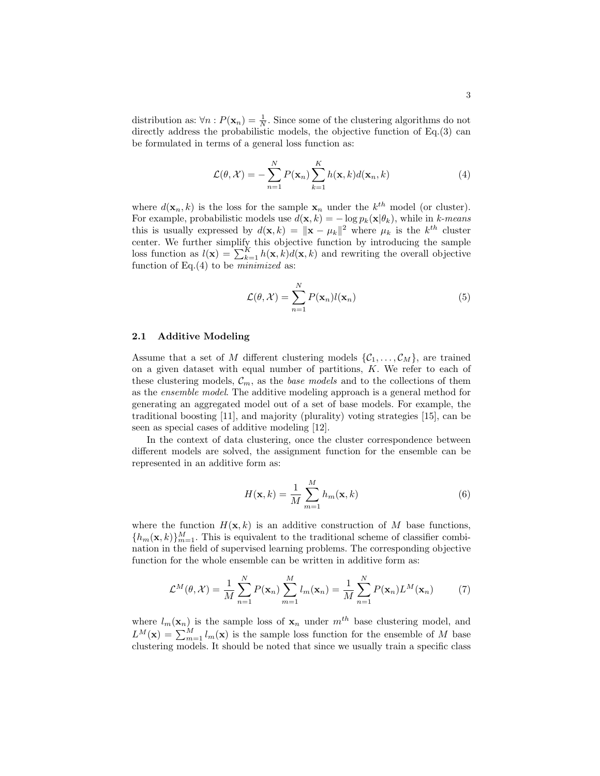distribution as:  $\forall n : P(\mathbf{x}_n) = \frac{1}{N}$ . Since some of the clustering algorithms do not directly address the probabilistic models, the objective function of Eq.(3) can be formulated in terms of a general loss function as:

$$
\mathcal{L}(\theta, \mathcal{X}) = -\sum_{n=1}^{N} P(\mathbf{x}_n) \sum_{k=1}^{K} h(\mathbf{x}, k) d(\mathbf{x}_n, k)
$$
(4)

where  $d(\mathbf{x}_n, k)$  is the loss for the sample  $\mathbf{x}_n$  under the  $k^{th}$  model (or cluster). For example, probabilistic models use  $d(\mathbf{x}, k) = -\log p_k(\mathbf{x}|\theta_k)$ , while in k-means this is usually expressed by  $d(\mathbf{x}, k) = ||\mathbf{x} - \mu_k||^2$  where  $\mu_k$  is the  $k^{th}$  cluster center. We further simplify this objective function by introducing the sample loss function as  $l(\mathbf{x}) = \sum_{k=1}^{K} h(\mathbf{x}, k) d(\mathbf{x}, k)$  and rewriting the overall objective function of Eq. $(4)$  to be *minimized* as:

$$
\mathcal{L}(\theta, \mathcal{X}) = \sum_{n=1}^{N} P(\mathbf{x}_n) l(\mathbf{x}_n)
$$
\n(5)

#### 2.1 Additive Modeling

Assume that a set of M different clustering models  $\{\mathcal{C}_1,\ldots,\mathcal{C}_M\}$ , are trained on a given dataset with equal number of partitions, K. We refer to each of these clustering models,  $\mathcal{C}_m$ , as the *base models* and to the collections of them as the ensemble model. The additive modeling approach is a general method for generating an aggregated model out of a set of base models. For example, the traditional boosting [11], and majority (plurality) voting strategies [15], can be seen as special cases of additive modeling [12].

In the context of data clustering, once the cluster correspondence between different models are solved, the assignment function for the ensemble can be represented in an additive form as:

$$
H(\mathbf{x},k) = \frac{1}{M} \sum_{m=1}^{M} h_m(\mathbf{x},k)
$$
\n(6)

where the function  $H(\mathbf{x}, k)$  is an additive construction of M base functions,  ${h_m(\mathbf{x},k)}_{m=1}^M$ . This is equivalent to the traditional scheme of classifier combination in the field of supervised learning problems. The corresponding objective function for the whole ensemble can be written in additive form as:

$$
\mathcal{L}^{M}(\theta, \mathcal{X}) = \frac{1}{M} \sum_{n=1}^{N} P(\mathbf{x}_n) \sum_{m=1}^{M} l_m(\mathbf{x}_n) = \frac{1}{M} \sum_{n=1}^{N} P(\mathbf{x}_n) L^{M}(\mathbf{x}_n)
$$
(7)

where  $l_m(\mathbf{x}_n)$  is the sample loss of  $\mathbf{x}_n$  under  $m^{th}$  base clustering model, and  $L^M(\mathbf{x}) = \sum_{m=1}^M l_m(\mathbf{x})$  is the sample loss function for the ensemble of M base clustering models. It should be noted that since we usually train a specific class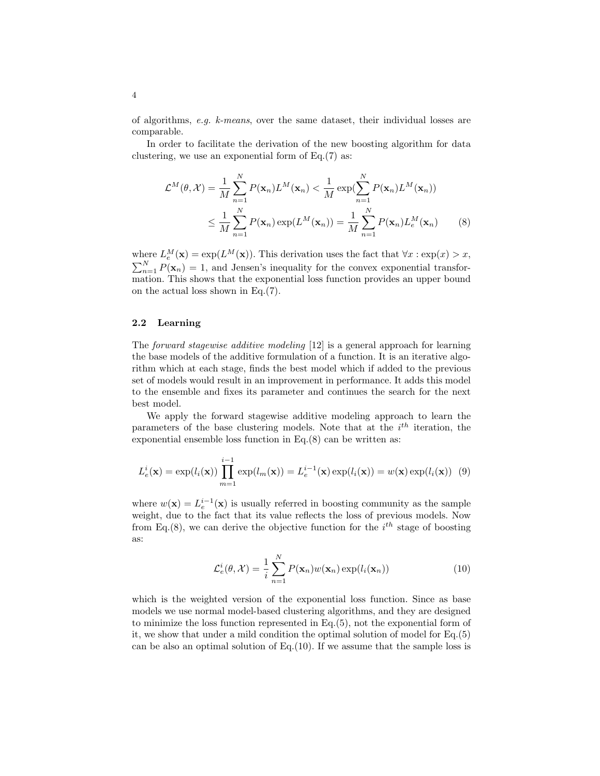of algorithms, e.g. k-means, over the same dataset, their individual losses are comparable.

In order to facilitate the derivation of the new boosting algorithm for data clustering, we use an exponential form of  $Eq.(7)$  as:

$$
\mathcal{L}^{M}(\theta, \mathcal{X}) = \frac{1}{M} \sum_{n=1}^{N} P(\mathbf{x}_{n}) L^{M}(\mathbf{x}_{n}) < \frac{1}{M} \exp(\sum_{n=1}^{N} P(\mathbf{x}_{n}) L^{M}(\mathbf{x}_{n}))
$$
  

$$
\leq \frac{1}{M} \sum_{n=1}^{N} P(\mathbf{x}_{n}) \exp(L^{M}(\mathbf{x}_{n})) = \frac{1}{M} \sum_{n=1}^{N} P(\mathbf{x}_{n}) L_{e}^{M}(\mathbf{x}_{n})
$$
(8)

where  $L_e^M(\mathbf{x}) = \exp(L^M(\mathbf{x}))$ . This derivation uses the fact that  $\forall x : \exp(x) > x$ ,  $\sum_{n=1}^{N} P(\mathbf{x}_n) = 1$ , and Jensen's inequality for the convex exponential transformation. This shows that the exponential loss function provides an upper bound on the actual loss shown in Eq.(7).

### 2.2 Learning

The forward stagewise additive modeling [12] is a general approach for learning the base models of the additive formulation of a function. It is an iterative algorithm which at each stage, finds the best model which if added to the previous set of models would result in an improvement in performance. It adds this model to the ensemble and fixes its parameter and continues the search for the next best model.

We apply the forward stagewise additive modeling approach to learn the parameters of the base clustering models. Note that at the  $i<sup>th</sup>$  iteration, the exponential ensemble loss function in Eq.(8) can be written as:

$$
L_e^i(\mathbf{x}) = \exp(l_i(\mathbf{x})) \prod_{m=1}^{i-1} \exp(l_m(\mathbf{x})) = L_e^{i-1}(\mathbf{x}) \exp(l_i(\mathbf{x})) = w(\mathbf{x}) \exp(l_i(\mathbf{x})) \tag{9}
$$

where  $w(\mathbf{x}) = L_e^{i-1}(\mathbf{x})$  is usually referred in boosting community as the sample weight, due to the fact that its value reflects the loss of previous models. Now from Eq.(8), we can derive the objective function for the  $i^{th}$  stage of boosting as:

$$
\mathcal{L}_e^i(\theta, \mathcal{X}) = \frac{1}{i} \sum_{n=1}^N P(\mathbf{x}_n) w(\mathbf{x}_n) \exp(l_i(\mathbf{x}_n))
$$
(10)

which is the weighted version of the exponential loss function. Since as base models we use normal model-based clustering algorithms, and they are designed to minimize the loss function represented in Eq.(5), not the exponential form of it, we show that under a mild condition the optimal solution of model for Eq.(5) can be also an optimal solution of Eq. $(10)$ . If we assume that the sample loss is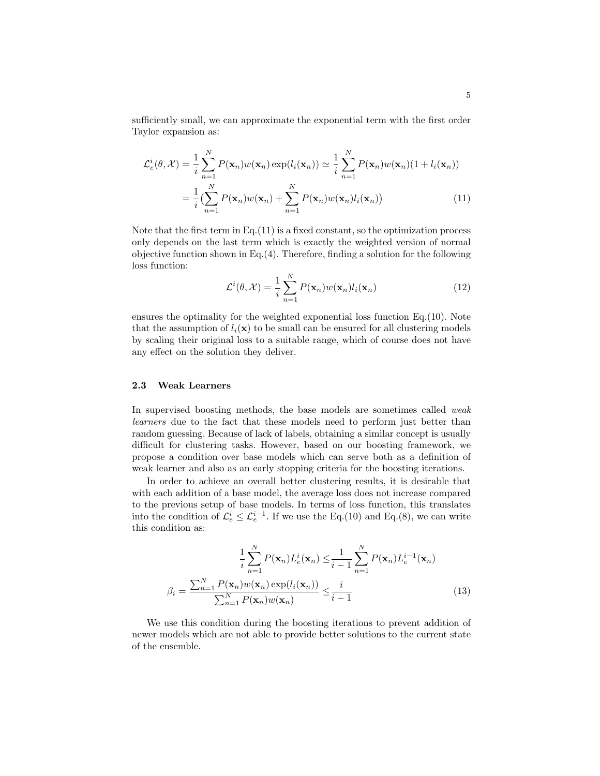sufficiently small, we can approximate the exponential term with the first order Taylor expansion as:

$$
\mathcal{L}_e^i(\theta, \mathcal{X}) = \frac{1}{i} \sum_{n=1}^N P(\mathbf{x}_n) w(\mathbf{x}_n) \exp(l_i(\mathbf{x}_n)) \simeq \frac{1}{i} \sum_{n=1}^N P(\mathbf{x}_n) w(\mathbf{x}_n) (1 + l_i(\mathbf{x}_n))
$$

$$
= \frac{1}{i} \left( \sum_{n=1}^N P(\mathbf{x}_n) w(\mathbf{x}_n) + \sum_{n=1}^N P(\mathbf{x}_n) w(\mathbf{x}_n) l_i(\mathbf{x}_n) \right) \tag{11}
$$

Note that the first term in Eq. $(11)$  is a fixed constant, so the optimization process only depends on the last term which is exactly the weighted version of normal objective function shown in Eq.(4). Therefore, finding a solution for the following loss function:

$$
\mathcal{L}^i(\theta, \mathcal{X}) = \frac{1}{i} \sum_{n=1}^N P(\mathbf{x}_n) w(\mathbf{x}_n) l_i(\mathbf{x}_n)
$$
\n(12)

ensures the optimality for the weighted exponential loss function Eq.(10). Note that the assumption of  $l_i(\mathbf{x})$  to be small can be ensured for all clustering models by scaling their original loss to a suitable range, which of course does not have any effect on the solution they deliver.

### 2.3 Weak Learners

In supervised boosting methods, the base models are sometimes called weak learners due to the fact that these models need to perform just better than random guessing. Because of lack of labels, obtaining a similar concept is usually difficult for clustering tasks. However, based on our boosting framework, we propose a condition over base models which can serve both as a definition of weak learner and also as an early stopping criteria for the boosting iterations.

In order to achieve an overall better clustering results, it is desirable that with each addition of a base model, the average loss does not increase compared to the previous setup of base models. In terms of loss function, this translates into the condition of  $\mathcal{L}_e^i \leq \mathcal{L}_e^{i-1}$ . If we use the Eq.(10) and Eq.(8), we can write this condition as:

$$
\frac{1}{i}\sum_{n=1}^{N}P(\mathbf{x}_n)L_e^i(\mathbf{x}_n) \leq \frac{1}{i-1}\sum_{n=1}^{N}P(\mathbf{x}_n)L_e^{i-1}(\mathbf{x}_n)
$$

$$
\beta_i = \frac{\sum_{n=1}^{N}P(\mathbf{x}_n)w(\mathbf{x}_n)\exp(l_i(\mathbf{x}_n))}{\sum_{n=1}^{N}P(\mathbf{x}_n)w(\mathbf{x}_n)} \leq \frac{i}{i-1}
$$
(13)

We use this condition during the boosting iterations to prevent addition of newer models which are not able to provide better solutions to the current state of the ensemble.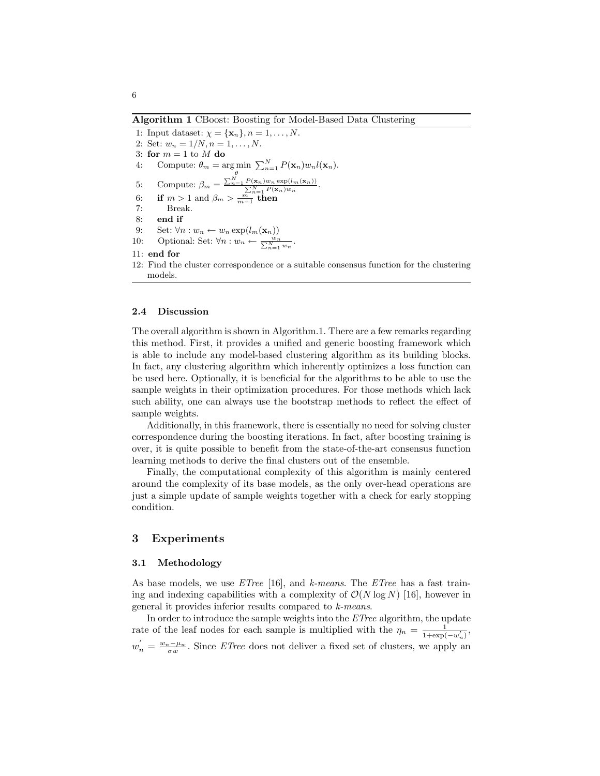Algorithm 1 CBoost: Boosting for Model-Based Data Clustering

1: Input dataset:  $\chi = {\mathbf{x}_n}, n = 1, \ldots, N$ . 2: Set:  $w_n = 1/N, n = 1, ..., N$ . 3: for  $m = 1$  to  $M$  do 4: Compute:  $\theta_m = \underset{\theta}{\arg \min} \sum_{n=1}^{N} P(\mathbf{x}_n) w_n l(\mathbf{x}_n)$ . 5: Compute:  $\beta_m = \frac{\sum_{n=1}^{N} P(\mathbf{x}_n) w_n \exp(l_m(\mathbf{x}_n))}{\sum_{n=1}^{N} P(\mathbf{x}_n) w_n}.$ 6: if  $m > 1$  and  $\beta_m > \frac{m}{m-1}$  then 7: Break. 8: end if 9: Set:  $\forall n: w_n \leftarrow w_n \exp(l_m(\mathbf{x}_n))$ 10: Optional: Set:  $\forall n: w_n \leftarrow \frac{w_n}{\sum_{n=1}^{N} w_n}$ . 11: end for 12: Find the cluster correspondence or a suitable consensus function for the clustering models.

### 2.4 Discussion

The overall algorithm is shown in Algorithm.1. There are a few remarks regarding this method. First, it provides a unified and generic boosting framework which is able to include any model-based clustering algorithm as its building blocks. In fact, any clustering algorithm which inherently optimizes a loss function can be used here. Optionally, it is beneficial for the algorithms to be able to use the sample weights in their optimization procedures. For those methods which lack such ability, one can always use the bootstrap methods to reflect the effect of sample weights.

Additionally, in this framework, there is essentially no need for solving cluster correspondence during the boosting iterations. In fact, after boosting training is over, it is quite possible to benefit from the state-of-the-art consensus function learning methods to derive the final clusters out of the ensemble.

Finally, the computational complexity of this algorithm is mainly centered around the complexity of its base models, as the only over-head operations are just a simple update of sample weights together with a check for early stopping condition.

# 3 Experiments

#### 3.1 Methodology

As base models, we use  $ETree$  [16], and k-means. The  $ETree$  has a fast training and indexing capabilities with a complexity of  $\mathcal{O}(N \log N)$  [16], however in general it provides inferior results compared to k-means.

In order to introduce the sample weights into the ETree algorithm, the update rate of the leaf nodes for each sample is multiplied with the  $\eta_n = \frac{1}{1+\exp(n)}$  $\frac{1}{1+\exp(-w'_n)},$  $w'_n = \frac{w_n - \mu_w}{\sigma w}$ . Since *ETree* does not deliver a fixed set of clusters, we apply an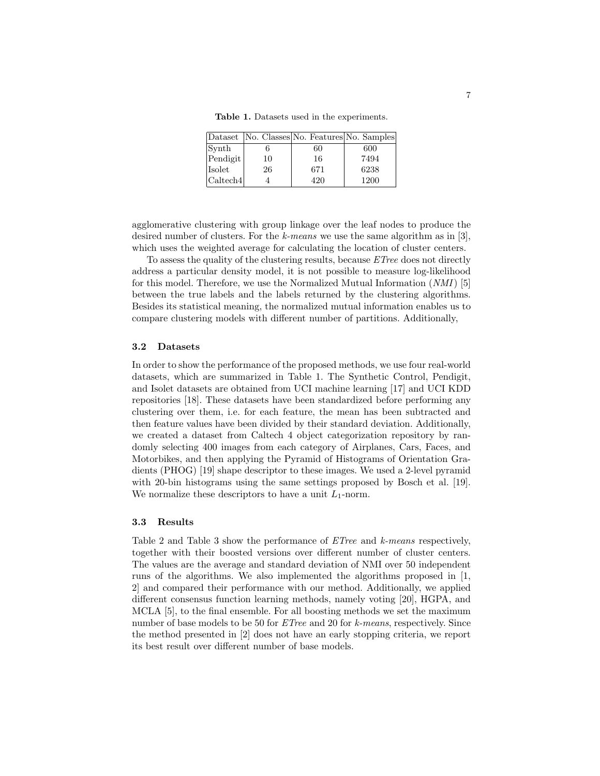Table 1. Datasets used in the experiments.

|          |    | Dataset   No. Classes   No. Features   No. Samples |      |
|----------|----|----------------------------------------------------|------|
| Synth    |    | 60                                                 | 600  |
| Pendigit | 10 | 16                                                 | 7494 |
| Isolet   | 26 | 671                                                | 6238 |
| Caltech4 |    | 420                                                | 1200 |

agglomerative clustering with group linkage over the leaf nodes to produce the desired number of clusters. For the k-means we use the same algorithm as in [3], which uses the weighted average for calculating the location of cluster centers.

To assess the quality of the clustering results, because ETree does not directly address a particular density model, it is not possible to measure log-likelihood for this model. Therefore, we use the Normalized Mutual Information (NMI) [5] between the true labels and the labels returned by the clustering algorithms. Besides its statistical meaning, the normalized mutual information enables us to compare clustering models with different number of partitions. Additionally,

#### 3.2 Datasets

In order to show the performance of the proposed methods, we use four real-world datasets, which are summarized in Table 1. The Synthetic Control, Pendigit, and Isolet datasets are obtained from UCI machine learning [17] and UCI KDD repositories [18]. These datasets have been standardized before performing any clustering over them, i.e. for each feature, the mean has been subtracted and then feature values have been divided by their standard deviation. Additionally, we created a dataset from Caltech 4 object categorization repository by randomly selecting 400 images from each category of Airplanes, Cars, Faces, and Motorbikes, and then applying the Pyramid of Histograms of Orientation Gradients (PHOG) [19] shape descriptor to these images. We used a 2-level pyramid with 20-bin histograms using the same settings proposed by Bosch et al. [19]. We normalize these descriptors to have a unit  $L_1$ -norm.

#### 3.3 Results

Table 2 and Table 3 show the performance of *ETree* and *k-means* respectively, together with their boosted versions over different number of cluster centers. The values are the average and standard deviation of NMI over 50 independent runs of the algorithms. We also implemented the algorithms proposed in [1, 2] and compared their performance with our method. Additionally, we applied different consensus function learning methods, namely voting [20], HGPA, and MCLA [5], to the final ensemble. For all boosting methods we set the maximum number of base models to be 50 for *ETree* and 20 for *k-means*, respectively. Since the method presented in [2] does not have an early stopping criteria, we report its best result over different number of base models.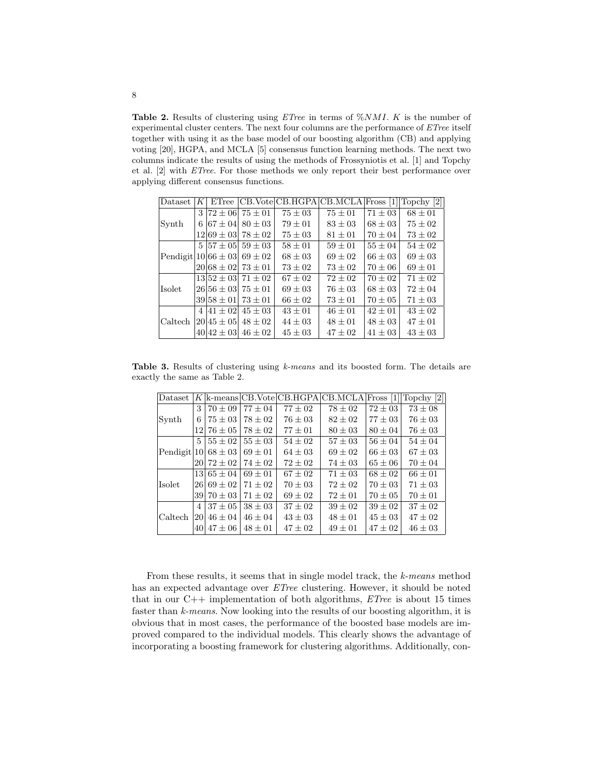Table 2. Results of clustering using  $ETree$  in terms of  $\%NMI$ . K is the number of experimental cluster centers. The next four columns are the performance of ETree itself together with using it as the base model of our boosting algorithm (CB) and applying voting [20], HGPA, and MCLA [5] consensus function learning methods. The next two columns indicate the results of using the methods of Frossyniotis et al. [1] and Topchy et al. [2] with ETree. For those methods we only report their best performance over applying different consensus functions.

| Dataset                             | K             |                  |                            |             | ETree CB.VoteCB.HGPACB.MCLA Fross [1] |             | Topchy [2]  |
|-------------------------------------|---------------|------------------|----------------------------|-------------|---------------------------------------|-------------|-------------|
| Synth                               | $\mathcal{S}$ |                  | $172 \pm 06$ 75 $\pm$ 01   | $75 \pm 03$ | $75 \pm 01$                           | $71 \pm 03$ | $68 \pm 01$ |
|                                     | 6             | $67 \pm 04$      | $80 + 03$                  | $79 + 01$   | $83 + 03$                             | $68 \pm 03$ | $75 \pm 02$ |
|                                     |               |                  | $12 69 \pm 03  78 \pm 02$  | $75 \pm 03$ | $81 \pm 01$                           | $70 \pm 04$ | $73 \pm 02$ |
| Pendigit $ 10 66 \pm 03  69 \pm 02$ |               |                  | $5 57 \pm 05 $ 59 $\pm$ 03 | $58 + 01$   | $59 + 01$                             | $55 + 04$   | $54 + 02$   |
|                                     |               |                  |                            | $68 \pm 03$ | $69 + 02$                             | $66 \pm 03$ | $69 \pm 03$ |
|                                     |               |                  | $20 68 \pm 02 73 \pm 01$   | $73 \pm 02$ | $73 \pm 02$                           | $70 \pm 06$ | $69 \pm 01$ |
| <b>Isolet</b>                       |               |                  | $13 52 + 03 71 + 02$       | $67 + 02$   | $72 + 02$                             | $70 \pm 02$ | $71 + 02$   |
|                                     |               |                  | $26156 \pm 03175 \pm 01$   | $69 + 03$   | $76 \pm 03$                           | $68 + 03$   | $72 + 04$   |
|                                     |               | $39158 \pm 011$  | $73 + 01$                  | $66 + 02$   | $73 + 01$                             | $70 + 05$   | $71 + 03$   |
| Caltech                             |               | $4 41+02 $       | $45 + 03$                  | $43 + 01$   | $46 + 01$                             | $42 + 01$   | $43 + 02$   |
|                                     |               | $ 20 45 \pm 05 $ | $48 \pm 02$                | $44 \pm 03$ | $48 \pm 01$                           | $48 \pm 03$ | $47 \pm 01$ |
|                                     |               | $40 42 + 03 $    | $46 + 02$                  | $45 \pm 03$ | $47 + 02$                             | $41 + 0.3$  | $43 \pm 03$ |

Table 3. Results of clustering using k-means and its boosted form. The details are exactly the same as Table 2.

| Dataset                 |                  |                |             |             | $K \text{k-means} CB.\text{Vote} CB.\text{HGPA} CB.\text{MCLA} Fross [1]$ |             | Topchy [2]  |
|-------------------------|------------------|----------------|-------------|-------------|---------------------------------------------------------------------------|-------------|-------------|
| Synth                   | 3                | $70 + 09$      | $77 \pm 04$ | $77 \pm 02$ | $78 \pm 02$                                                               | $72 \pm 03$ | $73 \pm 08$ |
|                         | 6                | $75 \pm 03$    | $78 \pm 02$ | $76 \pm 03$ | $82 \pm 02$                                                               | $77 \pm 03$ | $76 \pm 03$ |
|                         | 121              | $76 \pm 05$    | $78 \pm 02$ | $77 \pm 01$ | $80 \pm 03$                                                               | $80 \pm 04$ | $76 \pm 03$ |
| Pendigit 10 $68 \pm 03$ | 5                | $55 \pm 02$    | $55 + 03$   | $54 \pm 02$ | $57 \pm 03$                                                               | $56 \pm 04$ | $54 \pm 04$ |
|                         |                  |                | $69 \pm 01$ | $64 \pm 03$ | $69 \pm 02$                                                               | $66 \pm 03$ | $67 \pm 03$ |
|                         | 20 <sup>-1</sup> | $72 \pm 02$    | $74\pm02$   | $72 \pm 02$ | $74 \pm 03$                                                               | $65 \pm 06$ | $70 \pm 04$ |
| <b>Isolet</b>           |                  | $13 65 \pm 04$ | $69 + 01$   | $67 \pm 02$ | $71 \pm 03$                                                               | $68 \pm 02$ | $66 \pm 01$ |
|                         |                  | $26 69 \pm 02$ | $71 + 02$   | $70 \pm 03$ | $72 \pm 02$                                                               | $70 \pm 03$ | $71 \pm 03$ |
|                         | 391              | $70 \pm 03$    | $71 \pm 02$ | $69 \pm 02$ | $72 \pm 01$                                                               | $70 \pm 05$ | $70 \pm 01$ |
| Caltech                 | 4                | $37 \pm 05$    | $38 \pm 03$ | $37 \pm 02$ | $39 \pm 02$                                                               | $39 \pm 02$ | $37 \pm 02$ |
|                         | 20               | $46 \pm 04$    | $46 + 04$   | $43 \pm 03$ | $48 \pm 01$                                                               | $45 \pm 03$ | $47 \pm 02$ |
|                         | 40               | $47 \pm 06$    | $48 + 01$   | $47 \pm 02$ | $49 \pm 01$                                                               | $47 \pm 02$ | $46 \pm 03$ |

From these results, it seems that in single model track, the k-means method has an expected advantage over ETree clustering. However, it should be noted that in our  $C_{++}$  implementation of both algorithms, *ETree* is about 15 times faster than k-means. Now looking into the results of our boosting algorithm, it is obvious that in most cases, the performance of the boosted base models are improved compared to the individual models. This clearly shows the advantage of incorporating a boosting framework for clustering algorithms. Additionally, con-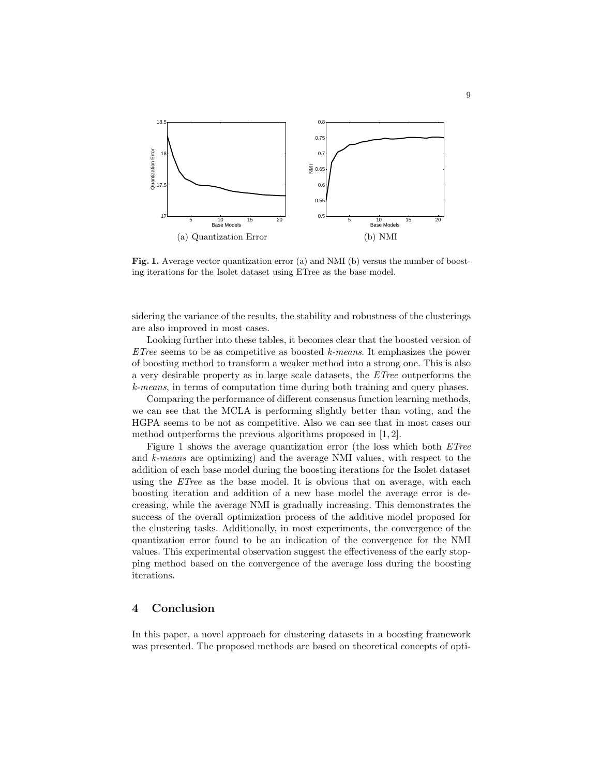

Fig. 1. Average vector quantization error (a) and NMI (b) versus the number of boosting iterations for the Isolet dataset using ETree as the base model.

sidering the variance of the results, the stability and robustness of the clusterings are also improved in most cases.

Looking further into these tables, it becomes clear that the boosted version of  $ETree$  seems to be as competitive as boosted k-means. It emphasizes the power of boosting method to transform a weaker method into a strong one. This is also a very desirable property as in large scale datasets, the ETree outperforms the k-means, in terms of computation time during both training and query phases.

Comparing the performance of different consensus function learning methods, we can see that the MCLA is performing slightly better than voting, and the HGPA seems to be not as competitive. Also we can see that in most cases our method outperforms the previous algorithms proposed in [1, 2].

Figure 1 shows the average quantization error (the loss which both ETree and k-means are optimizing) and the average NMI values, with respect to the addition of each base model during the boosting iterations for the Isolet dataset using the *ETree* as the base model. It is obvious that on average, with each boosting iteration and addition of a new base model the average error is decreasing, while the average NMI is gradually increasing. This demonstrates the success of the overall optimization process of the additive model proposed for the clustering tasks. Additionally, in most experiments, the convergence of the quantization error found to be an indication of the convergence for the NMI values. This experimental observation suggest the effectiveness of the early stopping method based on the convergence of the average loss during the boosting iterations.

# 4 Conclusion

In this paper, a novel approach for clustering datasets in a boosting framework was presented. The proposed methods are based on theoretical concepts of opti